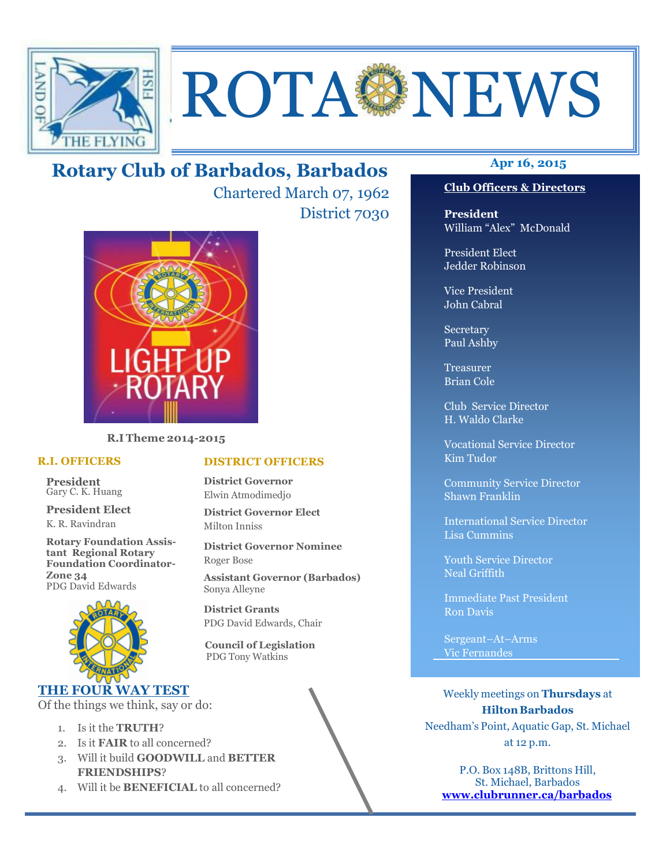

# ROTA NEWS

## **Apr 16, 2015 Rotary Club of Barbados, Barbados**

Chartered March 07, 1962 District 7030



**R.I Theme 2014-2015** 

#### **R.I. OFFICERS**

**President** Gary C. K. Huang

**President Elect** K. R. Ravindran

**Rotary Foundation Assistant Regional Rotary Foundation Coordinator-Zone 34**  PDG David Edwards



#### **THE FOUR WAY TEST**

Of the things we think, say or do:

- 1. Is it the **TRUTH**?
- 2. Is it **FAIR** to all concerned?
- 3. Will it build **GOODWILL** and **BETTER FRIENDSHIPS**?
- 4. Will it be **BENEFICIAL** to all concerned?

#### **Club Officers & Directors**

**President** William "Alex" McDonald

President Elect Jedder Robinson

Vice President John Cabral

Secretary Paul Ashby

Treasurer Brian Cole

Club Service Director H. Waldo Clarke

Vocational Service Director Kim Tudor

Community Service Director Shawn Franklin

International Service Director Lisa Cummins

Youth Service Director Neal Griffith

Immediate Past President Ron Davis

Sergeant–At–Arms Vic Fernandes

Weekly meetings on **Thursdays** at **Hilton Barbados** Needham's Point, Aquatic Gap, St. Michael at 12 p.m.

P.O. Box 148B, Brittons Hill, St. Michael, Barbados **www.clubrunner.ca/barbados**

#### **DISTRICT OFFICERS**

**District Governor** Elwin Atmodimedjo

**District Governor Elect** Milton Inniss

**District Governor Nominee**  Roger Bose

**Assistant Governor (Barbados)** Sonya Alleyne

**District Grants**  PDG David Edwards, Chair

 **Council of Legislation**  PDG Tony Watkins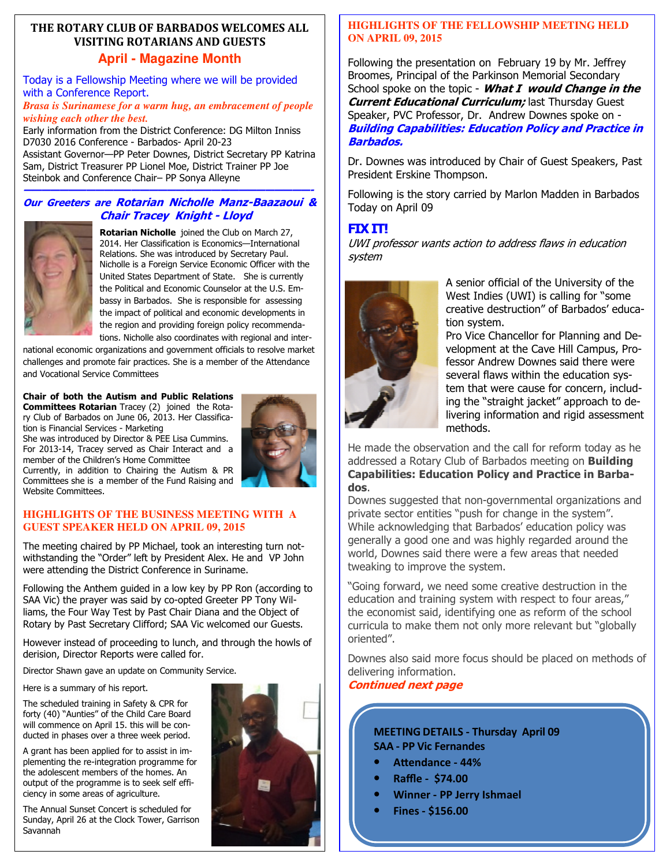#### **THE ROTARY CLUB OF BARBADOS WELCOMES ALL VISITING ROTARIANS AND GUESTS April - Magazine Month**

Today is a Fellowship Meeting where we will be provided with a Conference Report.

*Brasa is Surinamese for a warm hug, an embracement of people wishing each other the best.*

Early information from the District Conference: DG Milton Inniss D7030 2016 Conference - Barbados- April 20-23 Assistant Governor—PP Peter Downes, District Secretary PP Katrina Sam, District Treasurer PP Lionel Moe, District Trainer PP Joe Steinbok and Conference Chair– PP Sonya Alleyne

#### **————————————————————————————————- Our Greeters are Rotarian Nicholle Manz-Baazaoui & Chair Tracey Knight - Lloyd**



**Rotarian Nicholle** joined the Club on March 27, 2014. Her Classification is Economics—International Relations. She was introduced by Secretary Paul. Nicholle is a Foreign Service Economic Officer with the United States Department of State. She is currently the Political and Economic Counselor at the U.S. Embassy in Barbados. She is responsible for assessing the impact of political and economic developments in the region and providing foreign policy recommendations. Nicholle also coordinates with regional and inter-

national economic organizations and government officials to resolve market challenges and promote fair practices. She is a member of the Attendance and Vocational Service Committees

#### **Chair of both the Autism and Public Relations**

**Committees Rotarian** Tracey (2) joined the Rotary Club of Barbados on June 06, 2013. Her Classification is Financial Services - Marketing She was introduced by Director & PEE Lisa Cummins.

For 2013-14, Tracey served as Chair Interact and a member of the Children's Home Committee Currently, in addition to Chairing the Autism & PR Committees she is a member of the Fund Raising and Website Committees.



#### **HIGHLIGHTS OF THE BUSINESS MEETING WITH A GUEST SPEAKER HELD ON APRIL 09, 2015**

The meeting chaired by PP Michael, took an interesting turn notwithstanding the "Order" left by President Alex. He and VP John were attending the District Conference in Suriname.

Following the Anthem guided in a low key by PP Ron (according to SAA Vic) the prayer was said by co-opted Greeter PP Tony Williams, the Four Way Test by Past Chair Diana and the Object of Rotary by Past Secretary Clifford; SAA Vic welcomed our Guests.

However instead of proceeding to lunch, and through the howls of derision, Director Reports were called for.

Director Shawn gave an update on Community Service.

Here is a summary of his report.

The scheduled training in Safety & CPR for forty (40) "Aunties" of the Child Care Board will commence on April 15. this will be conducted in phases over a three week period.

A grant has been applied for to assist in implementing the re-integration programme for the adolescent members of the homes. An output of the programme is to seek self efficiency in some areas of agriculture.

 Sunday, April 26 at the Clock Tower, Garrison The Annual Sunset Concert is scheduled for Savannah



#### **HIGHLIGHTS OF THE FELLOWSHIP MEETING HELD ON APRIL 09, 2015**

Following the presentation on February 19 by Mr. Jeffrey Broomes, Principal of the Parkinson Memorial Secondary School spoke on the topic - **What I would Change in the Current Educational Curriculum;** last Thursday Guest Speaker, PVC Professor, Dr. Andrew Downes spoke on - **Building Capabilities: Education Policy and Practice in Barbados.** 

Dr. Downes was introduced by Chair of Guest Speakers, Past President Erskine Thompson.

Following is the story carried by Marlon Madden in Barbados Today on April 09

## **FIX IT!**

UWI professor wants action to address flaws in education system



A senior official of the University of the West Indies (UWI) is calling for "some creative destruction" of Barbados' education system.

Pro Vice Chancellor for Planning and Development at the Cave Hill Campus, Professor Andrew Downes said there were several flaws within the education system that were cause for concern, including the "straight jacket" approach to delivering information and rigid assessment methods.

He made the observation and the call for reform today as he addressed a Rotary Club of Barbados meeting on **Building Capabilities: Education Policy and Practice in Barbados**.

Downes suggested that non-governmental organizations and private sector entities "push for change in the system". While acknowledging that Barbados' education policy was generally a good one and was highly regarded around the world, Downes said there were a few areas that needed tweaking to improve the system.

"Going forward, we need some creative destruction in the education and training system with respect to four areas," the economist said, identifying one as reform of the school curricula to make them not only more relevant but "globally oriented".

Downes also said more focus should be placed on methods of delivering information.

#### **Continued next page**

#### **MEETING DETAILS - Thursday April 09 SAA - PP Vic Fernandes**

- Attendance 44%
- **Raffle \$74.00**
- **Winner PP Jerry Ishmael**
- **Fines \$156.00**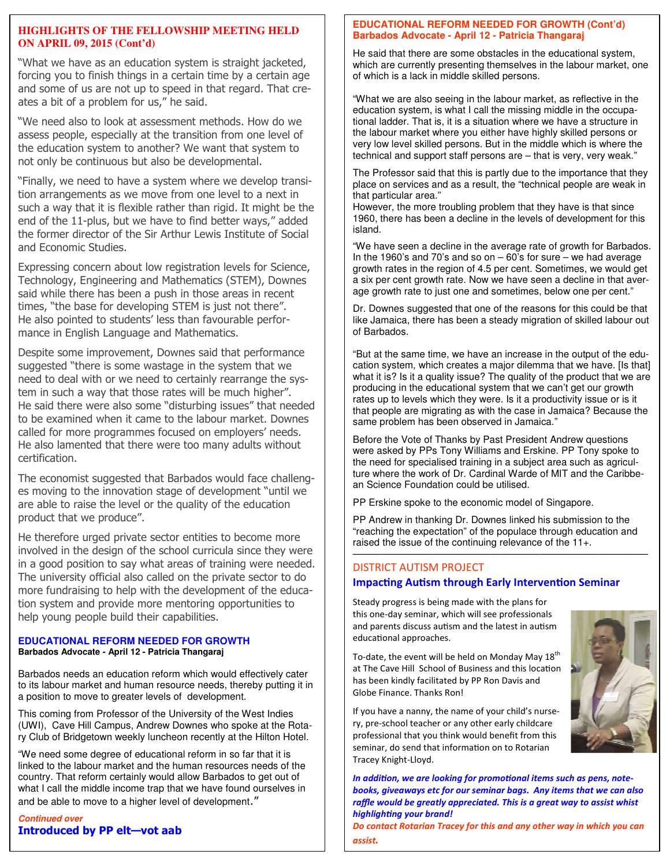#### **HIGHLIGHTS OF THE FELLOWSHIP MEETING HELD ON APRIL 09, 2015 (Cont'd)**

"What we have as an education system is straight jacketed, forcing you to finish things in a certain time by a certain age and some of us are not up to speed in that regard. That creates a bit of a problem for us," he said.

"We need also to look at assessment methods. How do we assess people, especially at the transition from one level of the education system to another? We want that system to not only be continuous but also be developmental.

"Finally, we need to have a system where we develop transition arrangements as we move from one level to a next in such a way that it is flexible rather than rigid. It might be the end of the 11-plus, but we have to find better ways," added the former director of the Sir Arthur Lewis Institute of Social and Economic Studies.

Expressing concern about low registration levels for Science, Technology, Engineering and Mathematics (STEM), Downes said while there has been a push in those areas in recent times, "the base for developing STEM is just not there". He also pointed to students' less than favourable performance in English Language and Mathematics.

Despite some improvement, Downes said that performance suggested "there is some wastage in the system that we need to deal with or we need to certainly rearrange the system in such a way that those rates will be much higher". He said there were also some "disturbing issues" that needed to be examined when it came to the labour market. Downes called for more programmes focused on employers' needs. He also lamented that there were too many adults without certification.

The economist suggested that Barbados would face challenges moving to the innovation stage of development "until we are able to raise the level or the quality of the education product that we produce".

He therefore urged private sector entities to become more involved in the design of the school curricula since they were in a good position to say what areas of training were needed. The university official also called on the private sector to do more fundraising to help with the development of the education system and provide more mentoring opportunities to help young people build their capabilities.

#### **EDUCATIONAL REFORM NEEDED FOR GROWTH Barbados Advocate - April 12 - Patricia Thangaraj**

Barbados needs an education reform which would effectively cater to its labour market and human resource needs, thereby putting it in a position to move to greater levels of development.

This coming from Professor of the University of the West Indies (UWI), Cave Hill Campus, Andrew Downes who spoke at the Rotary Club of Bridgetown weekly luncheon recently at the Hilton Hotel.

"We need some degree of educational reform in so far that it is linked to the labour market and the human resources needs of the country. That reform certainly would allow Barbados to get out of what I call the middle income trap that we have found ourselves in and be able to move to a higher level of development."

 **Introduced by PP elt—vot aab Continued over** 

#### **EDUCATIONAL REFORM NEEDED FOR GROWTH (Cont'd) Barbados Advocate - April 12 - Patricia Thangaraj**

He said that there are some obstacles in the educational system, which are currently presenting themselves in the labour market, one of which is a lack in middle skilled persons.

"What we are also seeing in the labour market, as reflective in the education system, is what I call the missing middle in the occupational ladder. That is, it is a situation where we have a structure in the labour market where you either have highly skilled persons or very low level skilled persons. But in the middle which is where the technical and support staff persons are – that is very, very weak."

The Professor said that this is partly due to the importance that they place on services and as a result, the "technical people are weak in that particular area."

However, the more troubling problem that they have is that since 1960, there has been a decline in the levels of development for this island.

"We have seen a decline in the average rate of growth for Barbados. In the 1960's and 70's and so on  $-60$ 's for sure  $-$  we had average growth rates in the region of 4.5 per cent. Sometimes, we would get a six per cent growth rate. Now we have seen a decline in that average growth rate to just one and sometimes, below one per cent."

Dr. Downes suggested that one of the reasons for this could be that like Jamaica, there has been a steady migration of skilled labour out of Barbados.

"But at the same time, we have an increase in the output of the education system, which creates a major dilemma that we have. [Is that] what it is? Is it a quality issue? The quality of the product that we are producing in the educational system that we can't get our growth rates up to levels which they were. Is it a productivity issue or is it that people are migrating as with the case in Jamaica? Because the same problem has been observed in Jamaica."

Before the Vote of Thanks by Past President Andrew questions were asked by PPs Tony Williams and Erskine. PP Tony spoke to the need for specialised training in a subject area such as agriculture where the work of Dr. Cardinal Warde of MIT and the Caribbean Science Foundation could be utilised.

PP Erskine spoke to the economic model of Singapore.

PP Andrew in thanking Dr. Downes linked his submission to the "reaching the expectation" of the populace through education and raised the issue of the continuing relevance of the 11+.

#### $\frac{1}{\sqrt{2}}$  ,  $\frac{1}{\sqrt{2}}$  ,  $\frac{1}{\sqrt{2}}$  ,  $\frac{1}{\sqrt{2}}$  ,  $\frac{1}{\sqrt{2}}$  ,  $\frac{1}{\sqrt{2}}$  ,  $\frac{1}{\sqrt{2}}$  ,  $\frac{1}{\sqrt{2}}$  ,  $\frac{1}{\sqrt{2}}$  ,  $\frac{1}{\sqrt{2}}$  ,  $\frac{1}{\sqrt{2}}$  ,  $\frac{1}{\sqrt{2}}$  ,  $\frac{1}{\sqrt{2}}$  ,  $\frac{1}{\sqrt{2}}$  ,  $\frac{1}{\sqrt{2}}$ DISTRICT AUTISM PROJECT **Impacting Autism through Early Intervention Seminar**

Steady progress is being made with the plans for this one-day seminar, which will see professionals and parents discuss autism and the latest in autism educational approaches.

To-date, the event will be held on Monday May  $18<sup>th</sup>$ at The Cave Hill School of Business and this location has been kindly facilitated by PP Ron Davis and Globe Finance. Thanks Ron!

If you have a nanny, the name of your child's nursery, pre-school teacher or any other early childcare professional that you think would benefit from this seminar, do send that information on to Rotarian Tracey Knight-Lloyd.

In addition, we are looking for promotional items such as pens, note*books, giveaways etc for our seminar bags. Any items that we can also raffle would be greatly appreciated. This is a great way to assist whist highlighting your brand!* 

*Do contact Rotarian Tracey for this and any other way in which you can assist.*